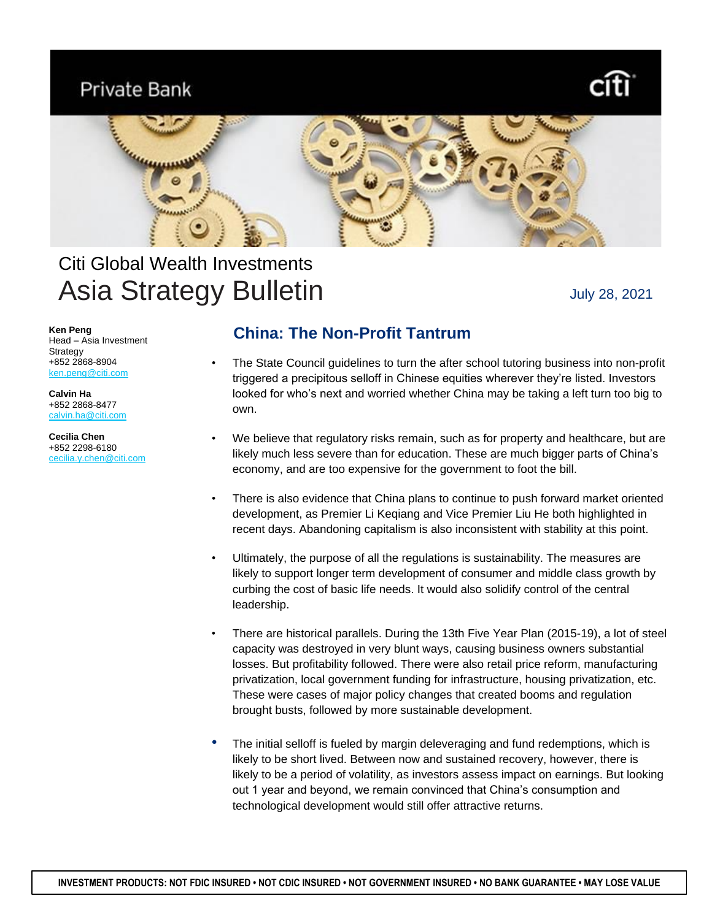# **Private Bank**



# Citi Global Wealth Investments Asia Strategy Bulletin

July 28, 2021

**Ken Peng** Head – Asia Investment Strategy +852 2868-8904 ken.peng@citi.com

**Calvin Ha** +852 2868-8477 [calvin.ha@citi.com](mailto:calvin.ha@citi.com)

**Cecilia Chen** +852 2298-6180 cecilia.y.chen@citi.com

## **China: The Non-Profit Tantrum**

- The State Council guidelines to turn the after school tutoring business into non-profit triggered a precipitous selloff in Chinese equities wherever they're listed. Investors looked for who's next and worried whether China may be taking a left turn too big to own.
- We believe that regulatory risks remain, such as for property and healthcare, but are likely much less severe than for education. These are much bigger parts of China's economy, and are too expensive for the government to foot the bill.
- There is also evidence that China plans to continue to push forward market oriented development, as Premier Li Keqiang and Vice Premier Liu He both highlighted in recent days. Abandoning capitalism is also inconsistent with stability at this point.
- Ultimately, the purpose of all the regulations is sustainability. The measures are likely to support longer term development of consumer and middle class growth by curbing the cost of basic life needs. It would also solidify control of the central leadership.
- There are historical parallels. During the 13th Five Year Plan (2015-19), a lot of steel capacity was destroyed in very blunt ways, causing business owners substantial losses. But profitability followed. There were also retail price reform, manufacturing privatization, local government funding for infrastructure, housing privatization, etc. These were cases of major policy changes that created booms and regulation brought busts, followed by more sustainable development.
- The initial selloff is fueled by margin deleveraging and fund redemptions, which is likely to be short lived. Between now and sustained recovery, however, there is likely to be a period of volatility, as investors assess impact on earnings. But looking out 1 year and beyond, we remain convinced that China's consumption and technological development would still offer attractive returns.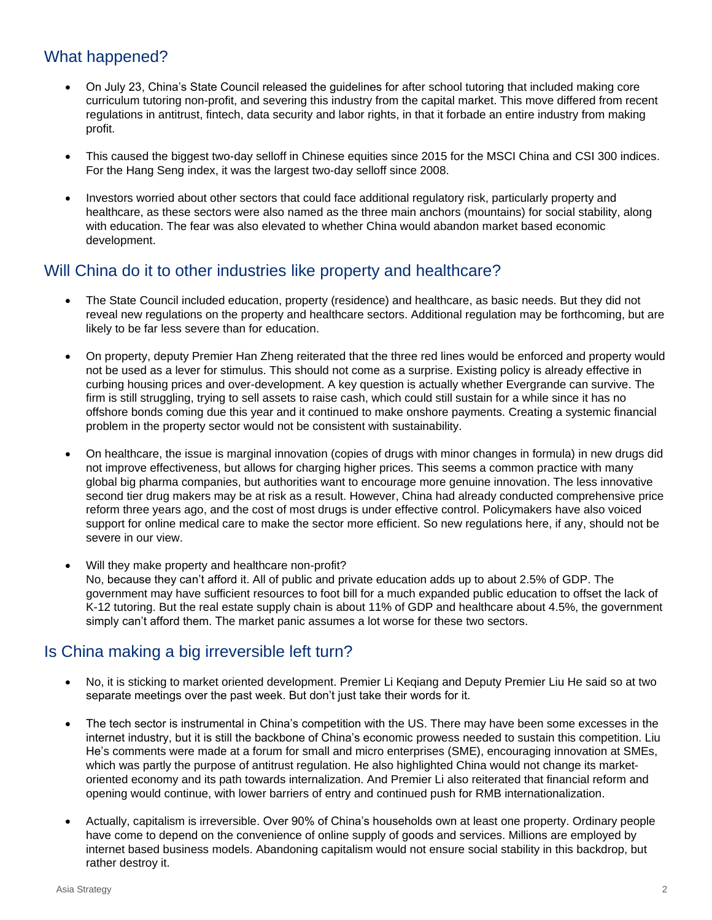### What happened?

- On July 23, China's State Council released the guidelines for after school tutoring that included making core curriculum tutoring non-profit, and severing this industry from the capital market. This move differed from recent regulations in antitrust, fintech, data security and labor rights, in that it forbade an entire industry from making profit.
- This caused the biggest two-day selloff in Chinese equities since 2015 for the MSCI China and CSI 300 indices. For the Hang Seng index, it was the largest two-day selloff since 2008.
- Investors worried about other sectors that could face additional regulatory risk, particularly property and healthcare, as these sectors were also named as the three main anchors (mountains) for social stability, along with education. The fear was also elevated to whether China would abandon market based economic development.

#### Will China do it to other industries like property and healthcare?

- The State Council included education, property (residence) and healthcare, as basic needs. But they did not reveal new regulations on the property and healthcare sectors. Additional regulation may be forthcoming, but are likely to be far less severe than for education.
- On property, deputy Premier Han Zheng reiterated that the three red lines would be enforced and property would not be used as a lever for stimulus. This should not come as a surprise. Existing policy is already effective in curbing housing prices and over-development. A key question is actually whether Evergrande can survive. The firm is still struggling, trying to sell assets to raise cash, which could still sustain for a while since it has no offshore bonds coming due this year and it continued to make onshore payments. Creating a systemic financial problem in the property sector would not be consistent with sustainability.
- On healthcare, the issue is marginal innovation (copies of drugs with minor changes in formula) in new drugs did not improve effectiveness, but allows for charging higher prices. This seems a common practice with many global big pharma companies, but authorities want to encourage more genuine innovation. The less innovative second tier drug makers may be at risk as a result. However, China had already conducted comprehensive price reform three years ago, and the cost of most drugs is under effective control. Policymakers have also voiced support for online medical care to make the sector more efficient. So new regulations here, if any, should not be severe in our view.
- Will they make property and healthcare non-profit? No, because they can't afford it. All of public and private education adds up to about 2.5% of GDP. The government may have sufficient resources to foot bill for a much expanded public education to offset the lack of K-12 tutoring. But the real estate supply chain is about 11% of GDP and healthcare about 4.5%, the government simply can't afford them. The market panic assumes a lot worse for these two sectors.

### Is China making a big irreversible left turn?

- No, it is sticking to market oriented development. Premier Li Keqiang and Deputy Premier Liu He said so at two separate meetings over the past week. But don't just take their words for it.
- The tech sector is instrumental in China's competition with the US. There may have been some excesses in the internet industry, but it is still the backbone of China's economic prowess needed to sustain this competition. Liu He's comments were made at a forum for small and micro enterprises (SME), encouraging innovation at SMEs, which was partly the purpose of antitrust regulation. He also highlighted China would not change its marketoriented economy and its path towards internalization. And Premier Li also reiterated that financial reform and opening would continue, with lower barriers of entry and continued push for RMB internationalization.
- Actually, capitalism is irreversible. Over 90% of China's households own at least one property. Ordinary people have come to depend on the convenience of online supply of goods and services. Millions are employed by internet based business models. Abandoning capitalism would not ensure social stability in this backdrop, but rather destroy it.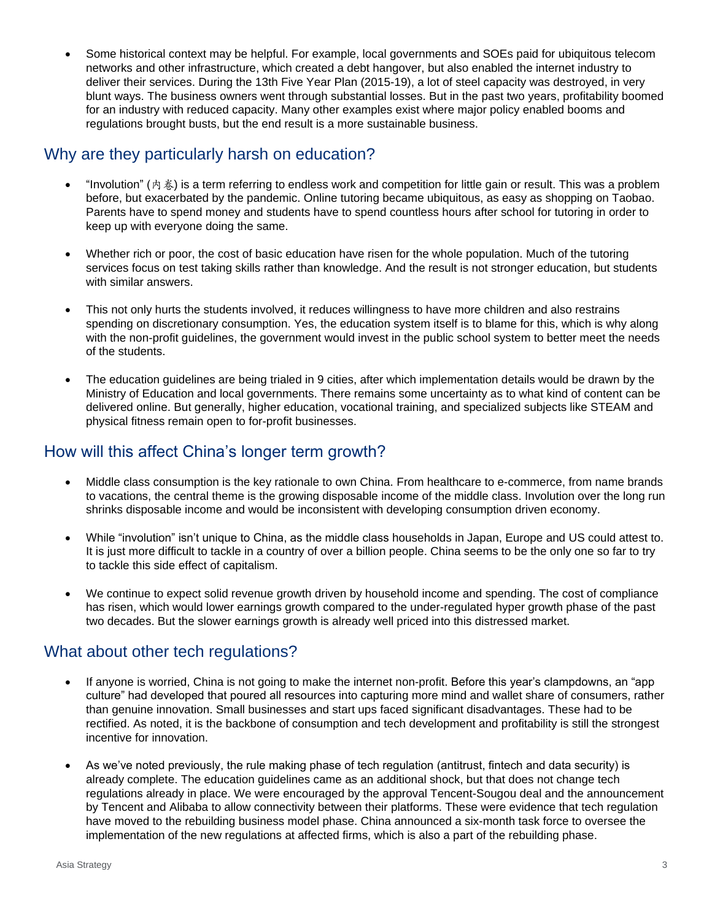Some historical context may be helpful. For example, local governments and SOEs paid for ubiquitous telecom networks and other infrastructure, which created a debt hangover, but also enabled the internet industry to deliver their services. During the 13th Five Year Plan (2015-19), a lot of steel capacity was destroyed, in very blunt ways. The business owners went through substantial losses. But in the past two years, profitability boomed for an industry with reduced capacity. Many other examples exist where major policy enabled booms and regulations brought busts, but the end result is a more sustainable business.

#### Why are they particularly harsh on education?

- "Involution" (内卷) is a term referring to endless work and competition for little gain or result. This was a problem before, but exacerbated by the pandemic. Online tutoring became ubiquitous, as easy as shopping on Taobao. Parents have to spend money and students have to spend countless hours after school for tutoring in order to keep up with everyone doing the same.
- Whether rich or poor, the cost of basic education have risen for the whole population. Much of the tutoring services focus on test taking skills rather than knowledge. And the result is not stronger education, but students with similar answers.
- This not only hurts the students involved, it reduces willingness to have more children and also restrains spending on discretionary consumption. Yes, the education system itself is to blame for this, which is why along with the non-profit guidelines, the government would invest in the public school system to better meet the needs of the students.
- The education guidelines are being trialed in 9 cities, after which implementation details would be drawn by the Ministry of Education and local governments. There remains some uncertainty as to what kind of content can be delivered online. But generally, higher education, vocational training, and specialized subjects like STEAM and physical fitness remain open to for-profit businesses.

#### How will this affect China's longer term growth?

- Middle class consumption is the key rationale to own China. From healthcare to e-commerce, from name brands to vacations, the central theme is the growing disposable income of the middle class. Involution over the long run shrinks disposable income and would be inconsistent with developing consumption driven economy.
- While "involution" isn't unique to China, as the middle class households in Japan, Europe and US could attest to. It is just more difficult to tackle in a country of over a billion people. China seems to be the only one so far to try to tackle this side effect of capitalism.
- We continue to expect solid revenue growth driven by household income and spending. The cost of compliance has risen, which would lower earnings growth compared to the under-regulated hyper growth phase of the past two decades. But the slower earnings growth is already well priced into this distressed market.

#### What about other tech regulations?

- If anyone is worried, China is not going to make the internet non-profit. Before this year's clampdowns, an "app culture" had developed that poured all resources into capturing more mind and wallet share of consumers, rather than genuine innovation. Small businesses and start ups faced significant disadvantages. These had to be rectified. As noted, it is the backbone of consumption and tech development and profitability is still the strongest incentive for innovation.
- As we've noted previously, the rule making phase of tech regulation (antitrust, fintech and data security) is already complete. The education guidelines came as an additional shock, but that does not change tech regulations already in place. We were encouraged by the approval Tencent-Sougou deal and the announcement by Tencent and Alibaba to allow connectivity between their platforms. These were evidence that tech regulation have moved to the rebuilding business model phase. China announced a six-month task force to oversee the implementation of the new regulations at affected firms, which is also a part of the rebuilding phase.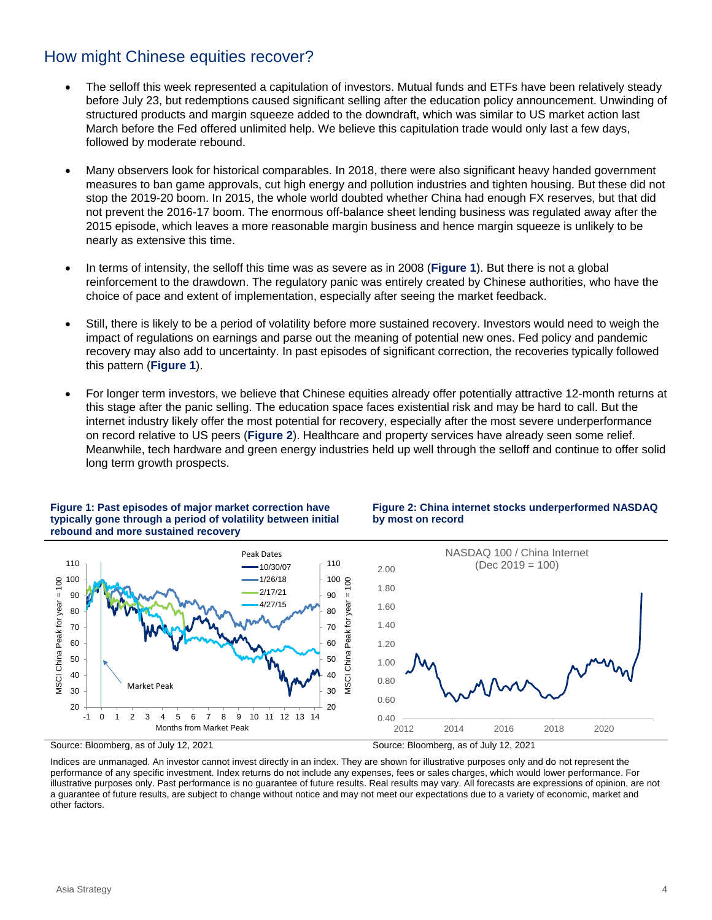#### How might Chinese equities recover?

- The selloff this week represented a capitulation of investors. Mutual funds and ETFs have been relatively steady before July 23, but redemptions caused significant selling after the education policy announcement. Unwinding of structured products and margin squeeze added to the downdraft, which was similar to US market action last March before the Fed offered unlimited help. We believe this capitulation trade would only last a few days, followed by moderate rebound.
- Many observers look for historical comparables. In 2018, there were also significant heavy handed government measures to ban game approvals, cut high energy and pollution industries and tighten housing. But these did not stop the 2019-20 boom. In 2015, the whole world doubted whether China had enough FX reserves, but that did not prevent the 2016-17 boom. The enormous off-balance sheet lending business was regulated away after the 2015 episode, which leaves a more reasonable margin business and hence margin squeeze is unlikely to be nearly as extensive this time.
- In terms of intensity, the selloff this time was as severe as in 2008 (**[Figure 1](#page-3-0)**). But there is not a global reinforcement to the drawdown. The regulatory panic was entirely created by Chinese authorities, who have the choice of pace and extent of implementation, especially after seeing the market feedback.
- Still, there is likely to be a period of volatility before more sustained recovery. Investors would need to weigh the impact of regulations on earnings and parse out the meaning of potential new ones. Fed policy and pandemic recovery may also add to uncertainty. In past episodes of significant correction, the recoveries typically followed this pattern (**[Figure 1](#page-3-0)**).
- For longer term investors, we believe that Chinese equities already offer potentially attractive 12-month returns at this stage after the panic selling. The education space faces existential risk and may be hard to call. But the internet industry likely offer the most potential for recovery, especially after the most severe underperformance on record relative to US peers (**[Figure 2](#page-3-1)**). Healthcare and property services have already seen some relief. Meanwhile, tech hardware and green energy industries held up well through the selloff and continue to offer solid long term growth prospects.



#### <span id="page-3-0"></span>**Figure 1: Past episodes of major market correction have typically gone through a period of volatility between initial rebound and more sustained recovery**

<span id="page-3-1"></span>**Figure 2: China internet stocks underperformed NASDAQ by most on record**

Indices are unmanaged. An investor cannot invest directly in an index. They are shown for illustrative purposes only and do not represent the performance of any specific investment. Index returns do not include any expenses, fees or sales charges, which would lower performance. For illustrative purposes only. Past performance is no guarantee of future results. Real results may vary. All forecasts are expressions of opinion, are not a guarantee of future results, are subject to change without notice and may not meet our expectations due to a variety of economic, market and other factors.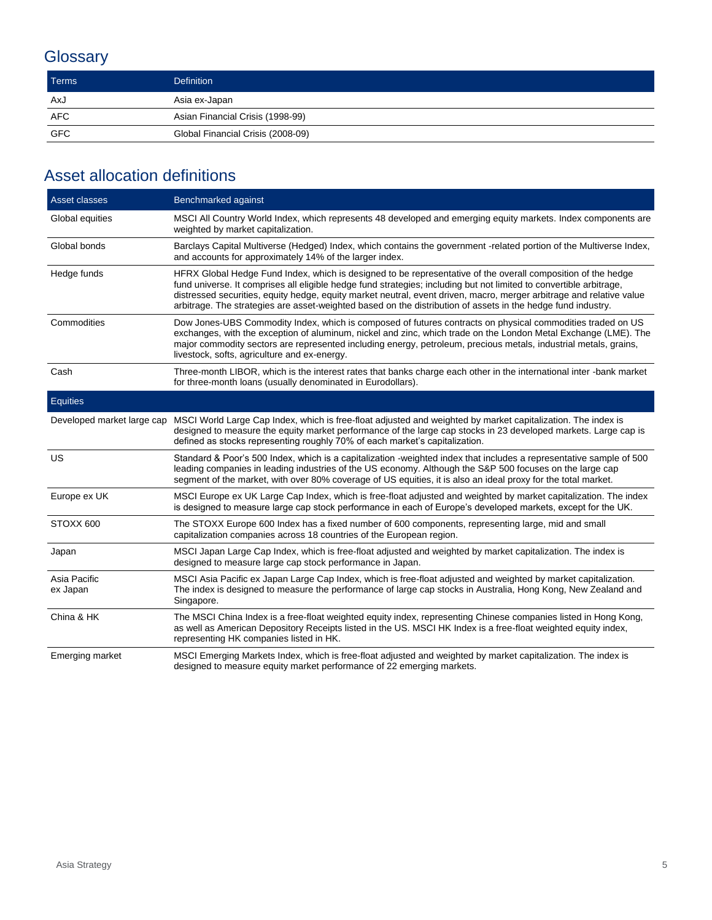# **Glossary**

| <b>Terms</b> | <b>Definition</b>                 |
|--------------|-----------------------------------|
| AxJ          | Asia ex-Japan                     |
| AFC          | Asian Financial Crisis (1998-99)  |
| <b>GFC</b>   | Global Financial Crisis (2008-09) |

## Asset allocation definitions

| Asset classes              | Benchmarked against                                                                                                                                                                                                                                                                                                                                                                                                                                                         |  |
|----------------------------|-----------------------------------------------------------------------------------------------------------------------------------------------------------------------------------------------------------------------------------------------------------------------------------------------------------------------------------------------------------------------------------------------------------------------------------------------------------------------------|--|
| Global equities            | MSCI All Country World Index, which represents 48 developed and emerging equity markets. Index components are<br>weighted by market capitalization.                                                                                                                                                                                                                                                                                                                         |  |
| Global bonds               | Barclays Capital Multiverse (Hedged) Index, which contains the government -related portion of the Multiverse Index,<br>and accounts for approximately 14% of the larger index.                                                                                                                                                                                                                                                                                              |  |
| Hedge funds                | HFRX Global Hedge Fund Index, which is designed to be representative of the overall composition of the hedge<br>fund universe. It comprises all eligible hedge fund strategies; including but not limited to convertible arbitrage,<br>distressed securities, equity hedge, equity market neutral, event driven, macro, merger arbitrage and relative value<br>arbitrage. The strategies are asset-weighted based on the distribution of assets in the hedge fund industry. |  |
| Commodities                | Dow Jones-UBS Commodity Index, which is composed of futures contracts on physical commodities traded on US<br>exchanges, with the exception of aluminum, nickel and zinc, which trade on the London Metal Exchange (LME). The<br>major commodity sectors are represented including energy, petroleum, precious metals, industrial metals, grains,<br>livestock, softs, agriculture and ex-energy.                                                                           |  |
| Cash                       | Three-month LIBOR, which is the interest rates that banks charge each other in the international inter-bank market<br>for three-month loans (usually denominated in Eurodollars).                                                                                                                                                                                                                                                                                           |  |
| Equities                   |                                                                                                                                                                                                                                                                                                                                                                                                                                                                             |  |
| Developed market large cap | MSCI World Large Cap Index, which is free-float adjusted and weighted by market capitalization. The index is<br>designed to measure the equity market performance of the large cap stocks in 23 developed markets. Large cap is<br>defined as stocks representing roughly 70% of each market's capitalization.                                                                                                                                                              |  |
| US.                        | Standard & Poor's 500 Index, which is a capitalization -weighted index that includes a representative sample of 500<br>leading companies in leading industries of the US economy. Although the S&P 500 focuses on the large cap<br>segment of the market, with over 80% coverage of US equities, it is also an ideal proxy for the total market.                                                                                                                            |  |
| Europe ex UK               | MSCI Europe ex UK Large Cap Index, which is free-float adjusted and weighted by market capitalization. The index<br>is designed to measure large cap stock performance in each of Europe's developed markets, except for the UK.                                                                                                                                                                                                                                            |  |
| STOXX 600                  | The STOXX Europe 600 Index has a fixed number of 600 components, representing large, mid and small<br>capitalization companies across 18 countries of the European region.                                                                                                                                                                                                                                                                                                  |  |
| Japan                      | MSCI Japan Large Cap Index, which is free-float adjusted and weighted by market capitalization. The index is<br>designed to measure large cap stock performance in Japan.                                                                                                                                                                                                                                                                                                   |  |
| Asia Pacific<br>ex Japan   | MSCI Asia Pacific ex Japan Large Cap Index, which is free-float adjusted and weighted by market capitalization.<br>The index is designed to measure the performance of large cap stocks in Australia, Hong Kong, New Zealand and<br>Singapore.                                                                                                                                                                                                                              |  |
| China & HK                 | The MSCI China Index is a free-float weighted equity index, representing Chinese companies listed in Hong Kong,<br>as well as American Depository Receipts listed in the US. MSCI HK Index is a free-float weighted equity index,<br>representing HK companies listed in HK.                                                                                                                                                                                                |  |
| Emerging market            | MSCI Emerging Markets Index, which is free-float adjusted and weighted by market capitalization. The index is<br>designed to measure equity market performance of 22 emerging markets.                                                                                                                                                                                                                                                                                      |  |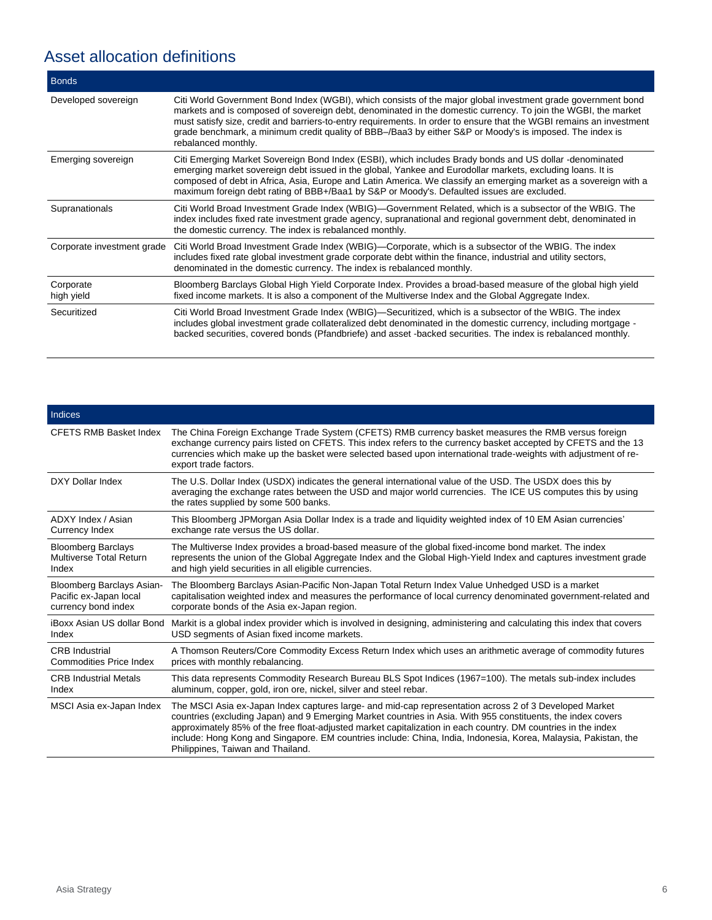# Asset allocation definitions

| <b>Bonds</b>               |                                                                                                                                                                                                                                                                                                                                                                                                                                                                                          |
|----------------------------|------------------------------------------------------------------------------------------------------------------------------------------------------------------------------------------------------------------------------------------------------------------------------------------------------------------------------------------------------------------------------------------------------------------------------------------------------------------------------------------|
| Developed sovereign        | Citi World Government Bond Index (WGBI), which consists of the major global investment grade government bond<br>markets and is composed of sovereign debt, denominated in the domestic currency. To join the WGBI, the market<br>must satisfy size, credit and barriers-to-entry requirements. In order to ensure that the WGBI remains an investment<br>grade benchmark, a minimum credit quality of BBB-/Baa3 by either S&P or Moody's is imposed. The index is<br>rebalanced monthly. |
| Emerging sovereign         | Citi Emerging Market Sovereign Bond Index (ESBI), which includes Brady bonds and US dollar -denominated<br>emerging market sovereign debt issued in the global, Yankee and Eurodollar markets, excluding loans. It is<br>composed of debt in Africa, Asia, Europe and Latin America. We classify an emerging market as a sovereign with a<br>maximum foreign debt rating of BBB+/Baa1 by S&P or Moody's. Defaulted issues are excluded.                                                  |
| Supranationals             | Citi World Broad Investment Grade Index (WBIG)—Government Related, which is a subsector of the WBIG. The<br>index includes fixed rate investment grade agency, supranational and regional government debt, denominated in<br>the domestic currency. The index is rebalanced monthly.                                                                                                                                                                                                     |
| Corporate investment grade | Citi World Broad Investment Grade Index (WBIG)-Corporate, which is a subsector of the WBIG. The index<br>includes fixed rate global investment grade corporate debt within the finance, industrial and utility sectors,<br>denominated in the domestic currency. The index is rebalanced monthly.                                                                                                                                                                                        |
| Corporate<br>high yield    | Bloomberg Barclays Global High Yield Corporate Index. Provides a broad-based measure of the global high yield<br>fixed income markets. It is also a component of the Multiverse Index and the Global Aggregate Index.                                                                                                                                                                                                                                                                    |
| Securitized                | Citi World Broad Investment Grade Index (WBIG)—Securitized, which is a subsector of the WBIG. The index<br>includes global investment grade collateralized debt denominated in the domestic currency, including mortgage -<br>backed securities, covered bonds (Pfandbriefe) and asset -backed securities. The index is rebalanced monthly.                                                                                                                                              |

| Indices                          |                                                                                                                                                                                                                                                                                                                                                                                                                                                                                                 |  |
|----------------------------------|-------------------------------------------------------------------------------------------------------------------------------------------------------------------------------------------------------------------------------------------------------------------------------------------------------------------------------------------------------------------------------------------------------------------------------------------------------------------------------------------------|--|
| <b>CFETS RMB Basket Index</b>    | The China Foreign Exchange Trade System (CFETS) RMB currency basket measures the RMB versus foreign<br>exchange currency pairs listed on CFETS. This index refers to the currency basket accepted by CFETS and the 13<br>currencies which make up the basket were selected based upon international trade-weights with adjustment of re-<br>export trade factors.                                                                                                                               |  |
| DXY Dollar Index                 | The U.S. Dollar Index (USDX) indicates the general international value of the USD. The USDX does this by<br>averaging the exchange rates between the USD and major world currencies. The ICE US computes this by using<br>the rates supplied by some 500 banks.                                                                                                                                                                                                                                 |  |
| ADXY Index / Asian               | This Bloomberg JPMorgan Asia Dollar Index is a trade and liquidity weighted index of 10 EM Asian currencies'                                                                                                                                                                                                                                                                                                                                                                                    |  |
| Currency Index                   | exchange rate versus the US dollar.                                                                                                                                                                                                                                                                                                                                                                                                                                                             |  |
| <b>Bloomberg Barclays</b>        | The Multiverse Index provides a broad-based measure of the global fixed-income bond market. The index                                                                                                                                                                                                                                                                                                                                                                                           |  |
| <b>Multiverse Total Return</b>   | represents the union of the Global Aggregate Index and the Global High-Yield Index and captures investment grade                                                                                                                                                                                                                                                                                                                                                                                |  |
| Index                            | and high yield securities in all eligible currencies.                                                                                                                                                                                                                                                                                                                                                                                                                                           |  |
| <b>Bloomberg Barclays Asian-</b> | The Bloomberg Barclays Asian-Pacific Non-Japan Total Return Index Value Unhedged USD is a market                                                                                                                                                                                                                                                                                                                                                                                                |  |
| Pacific ex-Japan local           | capitalisation weighted index and measures the performance of local currency denominated government-related and                                                                                                                                                                                                                                                                                                                                                                                 |  |
| currency bond index              | corporate bonds of the Asia ex-Japan region.                                                                                                                                                                                                                                                                                                                                                                                                                                                    |  |
| iBoxx Asian US dollar Bond       | Markit is a global index provider which is involved in designing, administering and calculating this index that covers                                                                                                                                                                                                                                                                                                                                                                          |  |
| Index                            | USD segments of Asian fixed income markets.                                                                                                                                                                                                                                                                                                                                                                                                                                                     |  |
| <b>CRB</b> Industrial            | A Thomson Reuters/Core Commodity Excess Return Index which uses an arithmetic average of commodity futures                                                                                                                                                                                                                                                                                                                                                                                      |  |
| <b>Commodities Price Index</b>   | prices with monthly rebalancing.                                                                                                                                                                                                                                                                                                                                                                                                                                                                |  |
| <b>CRB Industrial Metals</b>     | This data represents Commodity Research Bureau BLS Spot Indices (1967=100). The metals sub-index includes                                                                                                                                                                                                                                                                                                                                                                                       |  |
| Index                            | aluminum, copper, gold, iron ore, nickel, silver and steel rebar.                                                                                                                                                                                                                                                                                                                                                                                                                               |  |
| MSCI Asia ex-Japan Index         | The MSCI Asia ex-Japan Index captures large- and mid-cap representation across 2 of 3 Developed Market<br>countries (excluding Japan) and 9 Emerging Market countries in Asia. With 955 constituents, the index covers<br>approximately 85% of the free float-adjusted market capitalization in each country. DM countries in the index<br>include: Hong Kong and Singapore. EM countries include: China, India, Indonesia, Korea, Malaysia, Pakistan, the<br>Philippines, Taiwan and Thailand. |  |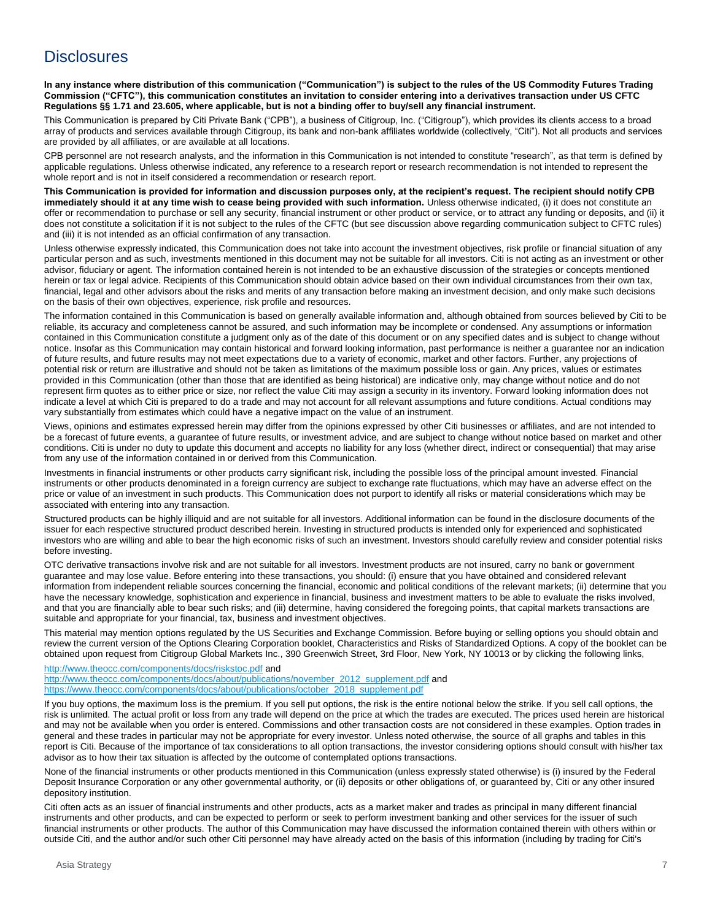#### **Disclosures**

**In any instance where distribution of this communication ("Communication") is subject to the rules of the US Commodity Futures Trading Commission ("CFTC"), this communication constitutes an invitation to consider entering into a derivatives transaction under US CFTC Regulations §§ 1.71 and 23.605, where applicable, but is not a binding offer to buy/sell any financial instrument.**

This Communication is prepared by Citi Private Bank ("CPB"), a business of Citigroup, Inc. ("Citigroup"), which provides its clients access to a broad array of products and services available through Citigroup, its bank and non-bank affiliates worldwide (collectively, "Citi"). Not all products and services are provided by all affiliates, or are available at all locations.

CPB personnel are not research analysts, and the information in this Communication is not intended to constitute "research", as that term is defined by applicable regulations. Unless otherwise indicated, any reference to a research report or research recommendation is not intended to represent the whole report and is not in itself considered a recommendation or research report.

**This Communication is provided for information and discussion purposes only, at the recipient's request. The recipient should notify CPB immediately should it at any time wish to cease being provided with such information.** Unless otherwise indicated, (i) it does not constitute an offer or recommendation to purchase or sell any security, financial instrument or other product or service, or to attract any funding or deposits, and (ii) it does not constitute a solicitation if it is not subject to the rules of the CFTC (but see discussion above regarding communication subject to CFTC rules) and (iii) it is not intended as an official confirmation of any transaction.

Unless otherwise expressly indicated, this Communication does not take into account the investment objectives, risk profile or financial situation of any particular person and as such, investments mentioned in this document may not be suitable for all investors. Citi is not acting as an investment or other advisor, fiduciary or agent. The information contained herein is not intended to be an exhaustive discussion of the strategies or concepts mentioned herein or tax or legal advice. Recipients of this Communication should obtain advice based on their own individual circumstances from their own tax, financial, legal and other advisors about the risks and merits of any transaction before making an investment decision, and only make such decisions on the basis of their own objectives, experience, risk profile and resources.

The information contained in this Communication is based on generally available information and, although obtained from sources believed by Citi to be reliable, its accuracy and completeness cannot be assured, and such information may be incomplete or condensed. Any assumptions or information contained in this Communication constitute a judgment only as of the date of this document or on any specified dates and is subject to change without notice. Insofar as this Communication may contain historical and forward looking information, past performance is neither a guarantee nor an indication of future results, and future results may not meet expectations due to a variety of economic, market and other factors. Further, any projections of potential risk or return are illustrative and should not be taken as limitations of the maximum possible loss or gain. Any prices, values or estimates provided in this Communication (other than those that are identified as being historical) are indicative only, may change without notice and do not represent firm quotes as to either price or size, nor reflect the value Citi may assign a security in its inventory. Forward looking information does not indicate a level at which Citi is prepared to do a trade and may not account for all relevant assumptions and future conditions. Actual conditions may vary substantially from estimates which could have a negative impact on the value of an instrument.

Views, opinions and estimates expressed herein may differ from the opinions expressed by other Citi businesses or affiliates, and are not intended to be a forecast of future events, a guarantee of future results, or investment advice, and are subject to change without notice based on market and other conditions. Citi is under no duty to update this document and accepts no liability for any loss (whether direct, indirect or consequential) that may arise from any use of the information contained in or derived from this Communication.

Investments in financial instruments or other products carry significant risk, including the possible loss of the principal amount invested. Financial instruments or other products denominated in a foreign currency are subject to exchange rate fluctuations, which may have an adverse effect on the price or value of an investment in such products. This Communication does not purport to identify all risks or material considerations which may be associated with entering into any transaction.

Structured products can be highly illiquid and are not suitable for all investors. Additional information can be found in the disclosure documents of the issuer for each respective structured product described herein. Investing in structured products is intended only for experienced and sophisticated investors who are willing and able to bear the high economic risks of such an investment. Investors should carefully review and consider potential risks before investing.

OTC derivative transactions involve risk and are not suitable for all investors. Investment products are not insured, carry no bank or government guarantee and may lose value. Before entering into these transactions, you should: (i) ensure that you have obtained and considered relevant information from independent reliable sources concerning the financial, economic and political conditions of the relevant markets; (ii) determine that you have the necessary knowledge, sophistication and experience in financial, business and investment matters to be able to evaluate the risks involved, and that you are financially able to bear such risks; and (iii) determine, having considered the foregoing points, that capital markets transactions are suitable and appropriate for your financial, tax, business and investment objectives.

This material may mention options regulated by the US Securities and Exchange Commission. Before buying or selling options you should obtain and review the current version of the Options Clearing Corporation booklet, Characteristics and Risks of Standardized Options. A copy of the booklet can be obtained upon request from Citigroup Global Markets Inc., 390 Greenwich Street, 3rd Floor, New York, NY 10013 or by clicking the following links,

<http://www.theocc.com/components/docs/riskstoc.pdf> and [http://www.theocc.com/components/docs/about/publications/november\\_2012\\_supplement.pdf](http://www.theocc.com/components/docs/about/publications/november_2012_supplement.pdf) and [https://www.theocc.com/components/docs/about/publications/october\\_2018\\_supplement.pdf](https://www.theocc.com/components/docs/about/publications/october_2018_supplement.pdf#_blank)

If you buy options, the maximum loss is the premium. If you sell put options, the risk is the entire notional below the strike. If you sell call options, the risk is unlimited. The actual profit or loss from any trade will depend on the price at which the trades are executed. The prices used herein are historical and may not be available when you order is entered. Commissions and other transaction costs are not considered in these examples. Option trades in general and these trades in particular may not be appropriate for every investor. Unless noted otherwise, the source of all graphs and tables in this report is Citi. Because of the importance of tax considerations to all option transactions, the investor considering options should consult with his/her tax advisor as to how their tax situation is affected by the outcome of contemplated options transactions.

None of the financial instruments or other products mentioned in this Communication (unless expressly stated otherwise) is (i) insured by the Federal Deposit Insurance Corporation or any other governmental authority, or (ii) deposits or other obligations of, or guaranteed by, Citi or any other insured depository institution.

Citi often acts as an issuer of financial instruments and other products, acts as a market maker and trades as principal in many different financial instruments and other products, and can be expected to perform or seek to perform investment banking and other services for the issuer of such financial instruments or other products. The author of this Communication may have discussed the information contained therein with others within or outside Citi, and the author and/or such other Citi personnel may have already acted on the basis of this information (including by trading for Citi's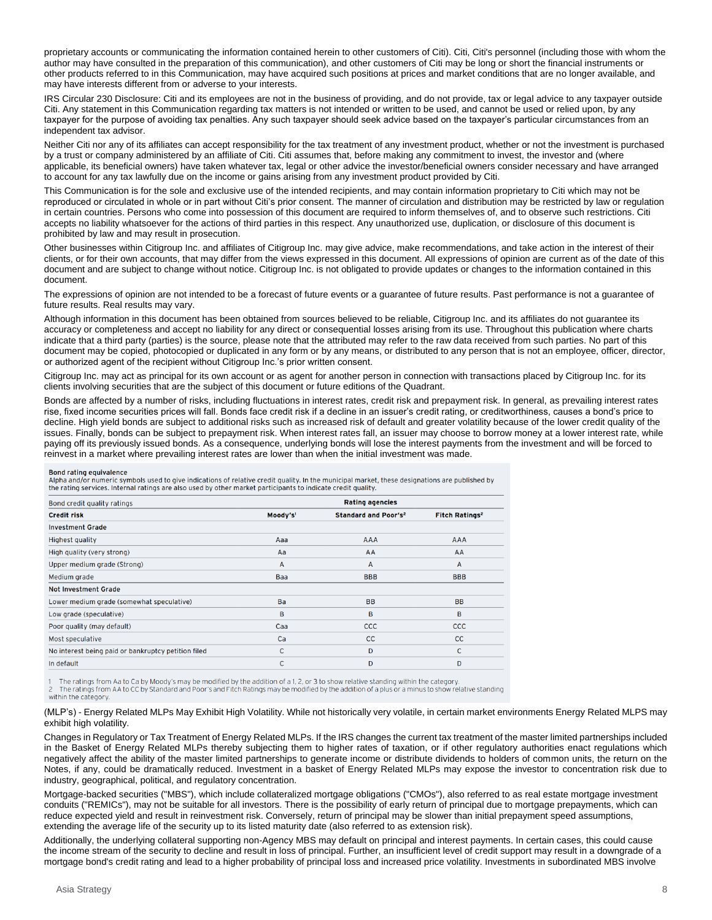proprietary accounts or communicating the information contained herein to other customers of Citi). Citi, Citi's personnel (including those with whom the author may have consulted in the preparation of this communication), and other customers of Citi may be long or short the financial instruments or other products referred to in this Communication, may have acquired such positions at prices and market conditions that are no longer available, and may have interests different from or adverse to your interests.

IRS Circular 230 Disclosure: Citi and its employees are not in the business of providing, and do not provide, tax or legal advice to any taxpayer outside Citi. Any statement in this Communication regarding tax matters is not intended or written to be used, and cannot be used or relied upon, by any taxpayer for the purpose of avoiding tax penalties. Any such taxpayer should seek advice based on the taxpayer's particular circumstances from an independent tax advisor.

Neither Citi nor any of its affiliates can accept responsibility for the tax treatment of any investment product, whether or not the investment is purchased by a trust or company administered by an affiliate of Citi. Citi assumes that, before making any commitment to invest, the investor and (where applicable, its beneficial owners) have taken whatever tax, legal or other advice the investor/beneficial owners consider necessary and have arranged to account for any tax lawfully due on the income or gains arising from any investment product provided by Citi.

This Communication is for the sole and exclusive use of the intended recipients, and may contain information proprietary to Citi which may not be reproduced or circulated in whole or in part without Citi's prior consent. The manner of circulation and distribution may be restricted by law or regulation in certain countries. Persons who come into possession of this document are required to inform themselves of, and to observe such restrictions. Citi accepts no liability whatsoever for the actions of third parties in this respect. Any unauthorized use, duplication, or disclosure of this document is prohibited by law and may result in prosecution.

Other businesses within Citigroup Inc. and affiliates of Citigroup Inc. may give advice, make recommendations, and take action in the interest of their clients, or for their own accounts, that may differ from the views expressed in this document. All expressions of opinion are current as of the date of this document and are subject to change without notice. Citigroup Inc. is not obligated to provide updates or changes to the information contained in this document.

The expressions of opinion are not intended to be a forecast of future events or a guarantee of future results. Past performance is not a guarantee of future results. Real results may vary.

Although information in this document has been obtained from sources believed to be reliable, Citigroup Inc. and its affiliates do not guarantee its accuracy or completeness and accept no liability for any direct or consequential losses arising from its use. Throughout this publication where charts indicate that a third party (parties) is the source, please note that the attributed may refer to the raw data received from such parties. No part of this document may be copied, photocopied or duplicated in any form or by any means, or distributed to any person that is not an employee, officer, director, or authorized agent of the recipient without Citigroup Inc.'s prior written consent.

Citigroup Inc. may act as principal for its own account or as agent for another person in connection with transactions placed by Citigroup Inc. for its clients involving securities that are the subject of this document or future editions of the Quadrant.

Bonds are affected by a number of risks, including fluctuations in interest rates, credit risk and prepayment risk. In general, as prevailing interest rates rise, fixed income securities prices will fall. Bonds face credit risk if a decline in an issuer's credit rating, or creditworthiness, causes a bond's price to decline. High yield bonds are subject to additional risks such as increased risk of default and greater volatility because of the lower credit quality of the issues. Finally, bonds can be subject to prepayment risk. When interest rates fall, an issuer may choose to borrow money at a lower interest rate, while paying off its previously issued bonds. As a consequence, underlying bonds will lose the interest payments from the investment and will be forced to reinvest in a market where prevailing interest rates are lower than when the initial investment was made.

#### **Bond rating equivalence**

sund rading commercies<br>Alpha and/or numeric symbols used to give indications of relative credit quality. In the municipal market, these designations are published by the rating services. Internal ratings are also used by other market participants to indicate credit quality.

| <b>Rating agencies</b> |                                        |                                  |
|------------------------|----------------------------------------|----------------------------------|
| Moody's <sup>1</sup>   | <b>Standard and Poor's<sup>2</sup></b> | <b>Fitch Ratings<sup>2</sup></b> |
|                        |                                        |                                  |
| Aaa                    | <b>AAA</b>                             | <b>AAA</b>                       |
| Aa                     | AA                                     | AA                               |
| A                      | A                                      | $\overline{A}$                   |
| Baa                    | <b>BBB</b>                             | <b>BBB</b>                       |
|                        |                                        |                                  |
| Ba                     | <b>BB</b>                              | <b>BB</b>                        |
| B                      | B                                      | B                                |
| Caa                    | <b>CCC</b>                             | <b>CCC</b>                       |
| Ca                     | cc                                     | CC                               |
| C                      | D                                      | C.                               |
| C                      | D                                      | D                                |
|                        |                                        |                                  |

The ratings from Aa to Ca by Moody's may be modified by the addition of a 1, 2, or 3 to show relative standing within the category. the ratings from AA to CC by Standard and Poor's and Fitch Ratings may be modified by the addition of a plus or a minus to show relative standing.

(MLP's) - Energy Related MLPs May Exhibit High Volatility. While not historically very volatile, in certain market environments Energy Related MLPS may exhibit high volatility.

Changes in Regulatory or Tax Treatment of Energy Related MLPs. If the IRS changes the current tax treatment of the master limited partnerships included in the Basket of Energy Related MLPs thereby subjecting them to higher rates of taxation, or if other regulatory authorities enact regulations which negatively affect the ability of the master limited partnerships to generate income or distribute dividends to holders of common units, the return on the Notes, if any, could be dramatically reduced. Investment in a basket of Energy Related MLPs may expose the investor to concentration risk due to industry, geographical, political, and regulatory concentration.

Mortgage-backed securities ("MBS"), which include collateralized mortgage obligations ("CMOs"), also referred to as real estate mortgage investment conduits ("REMICs"), may not be suitable for all investors. There is the possibility of early return of principal due to mortgage prepayments, which can reduce expected yield and result in reinvestment risk. Conversely, return of principal may be slower than initial prepayment speed assumptions, extending the average life of the security up to its listed maturity date (also referred to as extension risk).

Additionally, the underlying collateral supporting non-Agency MBS may default on principal and interest payments. In certain cases, this could cause the income stream of the security to decline and result in loss of principal. Further, an insufficient level of credit support may result in a downgrade of a mortgage bond's credit rating and lead to a higher probability of principal loss and increased price volatility. Investments in subordinated MBS involve

within the category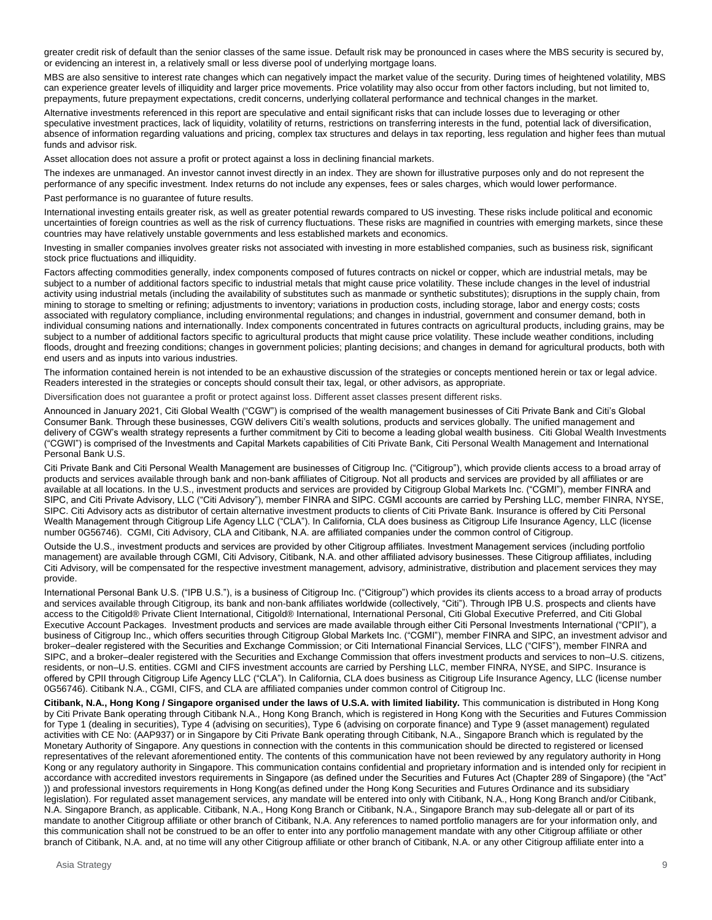greater credit risk of default than the senior classes of the same issue. Default risk may be pronounced in cases where the MBS security is secured by, or evidencing an interest in, a relatively small or less diverse pool of underlying mortgage loans.

MBS are also sensitive to interest rate changes which can negatively impact the market value of the security. During times of heightened volatility, MBS can experience greater levels of illiquidity and larger price movements. Price volatility may also occur from other factors including, but not limited to, prepayments, future prepayment expectations, credit concerns, underlying collateral performance and technical changes in the market.

Alternative investments referenced in this report are speculative and entail significant risks that can include losses due to leveraging or other speculative investment practices, lack of liquidity, volatility of returns, restrictions on transferring interests in the fund, potential lack of diversification, absence of information regarding valuations and pricing, complex tax structures and delays in tax reporting, less regulation and higher fees than mutual funds and advisor risk.

Asset allocation does not assure a profit or protect against a loss in declining financial markets.

The indexes are unmanaged. An investor cannot invest directly in an index. They are shown for illustrative purposes only and do not represent the performance of any specific investment. Index returns do not include any expenses, fees or sales charges, which would lower performance.

Past performance is no guarantee of future results.

International investing entails greater risk, as well as greater potential rewards compared to US investing. These risks include political and economic uncertainties of foreign countries as well as the risk of currency fluctuations. These risks are magnified in countries with emerging markets, since these countries may have relatively unstable governments and less established markets and economics.

Investing in smaller companies involves greater risks not associated with investing in more established companies, such as business risk, significant stock price fluctuations and illiquidity.

Factors affecting commodities generally, index components composed of futures contracts on nickel or copper, which are industrial metals, may be subject to a number of additional factors specific to industrial metals that might cause price volatility. These include changes in the level of industrial activity using industrial metals (including the availability of substitutes such as manmade or synthetic substitutes); disruptions in the supply chain, from mining to storage to smelting or refining; adjustments to inventory; variations in production costs, including storage, labor and energy costs; costs associated with regulatory compliance, including environmental regulations; and changes in industrial, government and consumer demand, both in individual consuming nations and internationally. Index components concentrated in futures contracts on agricultural products, including grains, may be subject to a number of additional factors specific to agricultural products that might cause price volatility. These include weather conditions, including floods, drought and freezing conditions; changes in government policies; planting decisions; and changes in demand for agricultural products, both with end users and as inputs into various industries.

The information contained herein is not intended to be an exhaustive discussion of the strategies or concepts mentioned herein or tax or legal advice. Readers interested in the strategies or concepts should consult their tax, legal, or other advisors, as appropriate.

Diversification does not guarantee a profit or protect against loss. Different asset classes present different risks.

Announced in January 2021, Citi Global Wealth ("CGW") is comprised of the wealth management businesses of Citi Private Bank and Citi's Global Consumer Bank. Through these businesses, CGW delivers Citi's wealth solutions, products and services globally. The unified management and delivery of CGW's wealth strategy represents a further commitment by Citi to become a leading global wealth business. Citi Global Wealth Investments ("CGWI") is comprised of the Investments and Capital Markets capabilities of Citi Private Bank, Citi Personal Wealth Management and International Personal Bank U.S.

Citi Private Bank and Citi Personal Wealth Management are businesses of Citigroup Inc. ("Citigroup"), which provide clients access to a broad array of products and services available through bank and non-bank affiliates of Citigroup. Not all products and services are provided by all affiliates or are available at all locations. In the U.S., investment products and services are provided by Citigroup Global Markets Inc. ("CGMI"), member FINRA and SIPC, and Citi Private Advisory, LLC ("Citi Advisory"), member FINRA and SIPC. CGMI accounts are carried by Pershing LLC, member FINRA, NYSE, SIPC. Citi Advisory acts as distributor of certain alternative investment products to clients of Citi Private Bank. Insurance is offered by Citi Personal Wealth Management through Citigroup Life Agency LLC ("CLA"). In California, CLA does business as Citigroup Life Insurance Agency, LLC (license number 0G56746). CGMI, Citi Advisory, CLA and Citibank, N.A. are affiliated companies under the common control of Citigroup.

Outside the U.S., investment products and services are provided by other Citigroup affiliates. Investment Management services (including portfolio management) are available through CGMI, Citi Advisory, Citibank, N.A. and other affiliated advisory businesses. These Citigroup affiliates, including Citi Advisory, will be compensated for the respective investment management, advisory, administrative, distribution and placement services they may provide.

International Personal Bank U.S. ("IPB U.S."), is a business of Citigroup Inc. ("Citigroup") which provides its clients access to a broad array of products and services available through Citigroup, its bank and non-bank affiliates worldwide (collectively, "Citi"). Through IPB U.S. prospects and clients have access to the Citigold® Private Client International, Citigold® International, International Personal, Citi Global Executive Preferred, and Citi Global Executive Account Packages. Investment products and services are made available through either Citi Personal Investments International ("CPII"), a business of Citigroup Inc., which offers securities through Citigroup Global Markets Inc. ("CGMI"), member FINRA and SIPC, an investment advisor and broker–dealer registered with the Securities and Exchange Commission; or Citi International Financial Services, LLC ("CIFS"), member FINRA and SIPC, and a broker–dealer registered with the Securities and Exchange Commission that offers investment products and services to non–U.S. citizens, residents, or non–U.S. entities. CGMI and CIFS investment accounts are carried by Pershing LLC, member FINRA, NYSE, and SIPC. Insurance is offered by CPII through Citigroup Life Agency LLC ("CLA"). In California, CLA does business as Citigroup Life Insurance Agency, LLC (license number 0G56746). Citibank N.A., CGMI, CIFS, and CLA are affiliated companies under common control of Citigroup Inc.

**Citibank, N.A., Hong Kong / Singapore organised under the laws of U.S.A. with limited liability.** This communication is distributed in Hong Kong by Citi Private Bank operating through Citibank N.A., Hong Kong Branch, which is registered in Hong Kong with the Securities and Futures Commission for Type 1 (dealing in securities), Type 4 (advising on securities), Type 6 (advising on corporate finance) and Type 9 (asset management) regulated activities with CE No: (AAP937) or in Singapore by Citi Private Bank operating through Citibank, N.A., Singapore Branch which is regulated by the Monetary Authority of Singapore. Any questions in connection with the contents in this communication should be directed to registered or licensed representatives of the relevant aforementioned entity. The contents of this communication have not been reviewed by any regulatory authority in Hong Kong or any regulatory authority in Singapore. This communication contains confidential and proprietary information and is intended only for recipient in accordance with accredited investors requirements in Singapore (as defined under the Securities and Futures Act (Chapter 289 of Singapore) (the "Act" )) and professional investors requirements in Hong Kong(as defined under the Hong Kong Securities and Futures Ordinance and its subsidiary legislation). For regulated asset management services, any mandate will be entered into only with Citibank, N.A., Hong Kong Branch and/or Citibank, N.A. Singapore Branch, as applicable. Citibank, N.A., Hong Kong Branch or Citibank, N.A., Singapore Branch may sub-delegate all or part of its mandate to another Citigroup affiliate or other branch of Citibank, N.A. Any references to named portfolio managers are for your information only, and this communication shall not be construed to be an offer to enter into any portfolio management mandate with any other Citigroup affiliate or other branch of Citibank, N.A. and, at no time will any other Citigroup affiliate or other branch of Citibank, N.A. or any other Citigroup affiliate enter into a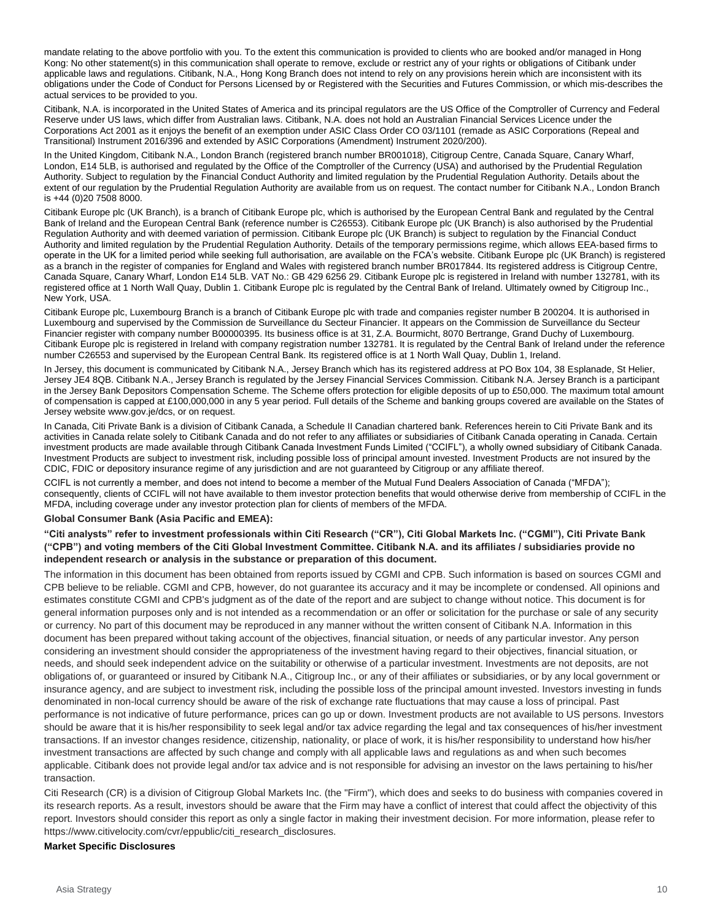mandate relating to the above portfolio with you. To the extent this communication is provided to clients who are booked and/or managed in Hong Kong: No other statement(s) in this communication shall operate to remove, exclude or restrict any of your rights or obligations of Citibank under applicable laws and regulations. Citibank, N.A., Hong Kong Branch does not intend to rely on any provisions herein which are inconsistent with its obligations under the Code of Conduct for Persons Licensed by or Registered with the Securities and Futures Commission, or which mis-describes the actual services to be provided to you.

Citibank, N.A. is incorporated in the United States of America and its principal regulators are the US Office of the Comptroller of Currency and Federal Reserve under US laws, which differ from Australian laws. Citibank, N.A. does not hold an Australian Financial Services Licence under the Corporations Act 2001 as it enjoys the benefit of an exemption under ASIC Class Order CO 03/1101 (remade as ASIC Corporations (Repeal and Transitional) Instrument 2016/396 and extended by ASIC Corporations (Amendment) Instrument 2020/200).

In the United Kingdom, Citibank N.A., London Branch (registered branch number BR001018), Citigroup Centre, Canada Square, Canary Wharf, London, E14 5LB, is authorised and regulated by the Office of the Comptroller of the Currency (USA) and authorised by the Prudential Regulation Authority. Subject to regulation by the Financial Conduct Authority and limited regulation by the Prudential Regulation Authority. Details about the extent of our regulation by the Prudential Regulation Authority are available from us on request. The contact number for Citibank N.A., London Branch is +44 (0)20 7508 8000.

Citibank Europe plc (UK Branch), is a branch of Citibank Europe plc, which is authorised by the European Central Bank and regulated by the Central Bank of Ireland and the European Central Bank (reference number is C26553). Citibank Europe plc (UK Branch) is also authorised by the Prudential Regulation Authority and with deemed variation of permission. Citibank Europe plc (UK Branch) is subject to regulation by the Financial Conduct Authority and limited regulation by the Prudential Regulation Authority. Details of the temporary permissions regime, which allows EEA‐based firms to operate in the UK for a limited period while seeking full authorisation, are available on the FCA's website. Citibank Europe plc (UK Branch) is registered as a branch in the register of companies for England and Wales with registered branch number BR017844. Its registered address is Citigroup Centre, Canada Square, Canary Wharf, London E14 5LB. VAT No.: GB 429 6256 29. Citibank Europe plc is registered in Ireland with number 132781, with its registered office at 1 North Wall Quay, Dublin 1. Citibank Europe plc is regulated by the Central Bank of Ireland. Ultimately owned by Citigroup Inc., New York, USA.

Citibank Europe plc, Luxembourg Branch is a branch of Citibank Europe plc with trade and companies register number B 200204. It is authorised in Luxembourg and supervised by the Commission de Surveillance du Secteur Financier. It appears on the Commission de Surveillance du Secteur Financier register with company number B00000395. Its business office is at 31, Z.A. Bourmicht, 8070 Bertrange, Grand Duchy of Luxembourg. Citibank Europe plc is registered in Ireland with company registration number 132781. It is regulated by the Central Bank of Ireland under the reference number C26553 and supervised by the European Central Bank. Its registered office is at 1 North Wall Quay, Dublin 1, Ireland.

In Jersey, this document is communicated by Citibank N.A., Jersey Branch which has its registered address at PO Box 104, 38 Esplanade, St Helier, Jersey JE4 8QB. Citibank N.A., Jersey Branch is regulated by the Jersey Financial Services Commission. Citibank N.A. Jersey Branch is a participant in the Jersey Bank Depositors Compensation Scheme. The Scheme offers protection for eligible deposits of up to £50,000. The maximum total amount of compensation is capped at £100,000,000 in any 5 year period. Full details of the Scheme and banking groups covered are available on the States of Jersey website www.gov.je/dcs, or on request.

In Canada, Citi Private Bank is a division of Citibank Canada, a Schedule II Canadian chartered bank. References herein to Citi Private Bank and its activities in Canada relate solely to Citibank Canada and do not refer to any affiliates or subsidiaries of Citibank Canada operating in Canada. Certain investment products are made available through Citibank Canada Investment Funds Limited ("CCIFL"), a wholly owned subsidiary of Citibank Canada. Investment Products are subject to investment risk, including possible loss of principal amount invested. Investment Products are not insured by the CDIC, FDIC or depository insurance regime of any jurisdiction and are not guaranteed by Citigroup or any affiliate thereof.

CCIFL is not currently a member, and does not intend to become a member of the Mutual Fund Dealers Association of Canada ("MFDA"); consequently, clients of CCIFL will not have available to them investor protection benefits that would otherwise derive from membership of CCIFL in the MFDA, including coverage under any investor protection plan for clients of members of the MFDA.

**Global Consumer Bank (Asia Pacific and EMEA):**

**"Citi analysts" refer to investment professionals within Citi Research ("CR"), Citi Global Markets Inc. ("CGMI"), Citi Private Bank ("CPB") and voting members of the Citi Global Investment Committee. Citibank N.A. and its affiliates / subsidiaries provide no independent research or analysis in the substance or preparation of this document.** 

The information in this document has been obtained from reports issued by CGMI and CPB. Such information is based on sources CGMI and CPB believe to be reliable. CGMI and CPB, however, do not guarantee its accuracy and it may be incomplete or condensed. All opinions and estimates constitute CGMI and CPB's judgment as of the date of the report and are subject to change without notice. This document is for general information purposes only and is not intended as a recommendation or an offer or solicitation for the purchase or sale of any security or currency. No part of this document may be reproduced in any manner without the written consent of Citibank N.A. Information in this document has been prepared without taking account of the objectives, financial situation, or needs of any particular investor. Any person considering an investment should consider the appropriateness of the investment having regard to their objectives, financial situation, or needs, and should seek independent advice on the suitability or otherwise of a particular investment. Investments are not deposits, are not obligations of, or guaranteed or insured by Citibank N.A., Citigroup Inc., or any of their affiliates or subsidiaries, or by any local government or insurance agency, and are subject to investment risk, including the possible loss of the principal amount invested. Investors investing in funds denominated in non-local currency should be aware of the risk of exchange rate fluctuations that may cause a loss of principal. Past performance is not indicative of future performance, prices can go up or down. Investment products are not available to US persons. Investors should be aware that it is his/her responsibility to seek legal and/or tax advice regarding the legal and tax consequences of his/her investment transactions. If an investor changes residence, citizenship, nationality, or place of work, it is his/her responsibility to understand how his/her investment transactions are affected by such change and comply with all applicable laws and regulations as and when such becomes applicable. Citibank does not provide legal and/or tax advice and is not responsible for advising an investor on the laws pertaining to his/her transaction.

Citi Research (CR) is a division of Citigroup Global Markets Inc. (the "Firm"), which does and seeks to do business with companies covered in its research reports. As a result, investors should be aware that the Firm may have a conflict of interest that could affect the objectivity of this report. Investors should consider this report as only a single factor in making their investment decision. For more information, please refer to https://www.citivelocity.com/cvr/eppublic/citi\_research\_disclosures.

#### **Market Specific Disclosures**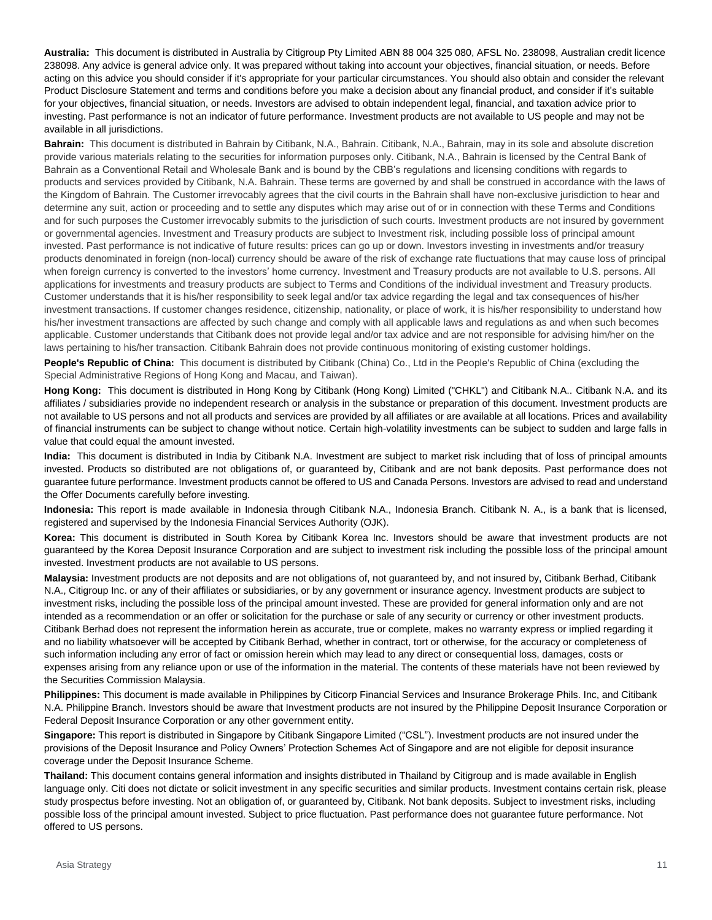**Australia:** This document is distributed in Australia by Citigroup Pty Limited ABN 88 004 325 080, AFSL No. 238098, Australian credit licence 238098. Any advice is general advice only. It was prepared without taking into account your objectives, financial situation, or needs. Before acting on this advice you should consider if it's appropriate for your particular circumstances. You should also obtain and consider the relevant Product Disclosure Statement and terms and conditions before you make a decision about any financial product, and consider if it's suitable for your objectives, financial situation, or needs. Investors are advised to obtain independent legal, financial, and taxation advice prior to investing. Past performance is not an indicator of future performance. Investment products are not available to US people and may not be available in all jurisdictions.

**Bahrain:** This document is distributed in Bahrain by Citibank, N.A., Bahrain. Citibank, N.A., Bahrain, may in its sole and absolute discretion provide various materials relating to the securities for information purposes only. Citibank, N.A., Bahrain is licensed by the Central Bank of Bahrain as a Conventional Retail and Wholesale Bank and is bound by the CBB's regulations and licensing conditions with regards to products and services provided by Citibank, N.A. Bahrain. These terms are governed by and shall be construed in accordance with the laws of the Kingdom of Bahrain. The Customer irrevocably agrees that the civil courts in the Bahrain shall have non-exclusive jurisdiction to hear and determine any suit, action or proceeding and to settle any disputes which may arise out of or in connection with these Terms and Conditions and for such purposes the Customer irrevocably submits to the jurisdiction of such courts. Investment products are not insured by government or governmental agencies. Investment and Treasury products are subject to Investment risk, including possible loss of principal amount invested. Past performance is not indicative of future results: prices can go up or down. Investors investing in investments and/or treasury products denominated in foreign (non-local) currency should be aware of the risk of exchange rate fluctuations that may cause loss of principal when foreign currency is converted to the investors' home currency. Investment and Treasury products are not available to U.S. persons. All applications for investments and treasury products are subject to Terms and Conditions of the individual investment and Treasury products. Customer understands that it is his/her responsibility to seek legal and/or tax advice regarding the legal and tax consequences of his/her investment transactions. If customer changes residence, citizenship, nationality, or place of work, it is his/her responsibility to understand how his/her investment transactions are affected by such change and comply with all applicable laws and regulations as and when such becomes applicable. Customer understands that Citibank does not provide legal and/or tax advice and are not responsible for advising him/her on the laws pertaining to his/her transaction. Citibank Bahrain does not provide continuous monitoring of existing customer holdings.

**People's Republic of China:** This document is distributed by Citibank (China) Co., Ltd in the People's Republic of China (excluding the Special Administrative Regions of Hong Kong and Macau, and Taiwan).

**Hong Kong:** This document is distributed in Hong Kong by Citibank (Hong Kong) Limited ("CHKL") and Citibank N.A.. Citibank N.A. and its affiliates / subsidiaries provide no independent research or analysis in the substance or preparation of this document. Investment products are not available to US persons and not all products and services are provided by all affiliates or are available at all locations. Prices and availability of financial instruments can be subject to change without notice. Certain high-volatility investments can be subject to sudden and large falls in value that could equal the amount invested.

**India:** This document is distributed in India by Citibank N.A. Investment are subject to market risk including that of loss of principal amounts invested. Products so distributed are not obligations of, or guaranteed by, Citibank and are not bank deposits. Past performance does not guarantee future performance. Investment products cannot be offered to US and Canada Persons. Investors are advised to read and understand the Offer Documents carefully before investing.

**Indonesia:** This report is made available in Indonesia through Citibank N.A., Indonesia Branch. Citibank N. A., is a bank that is licensed, registered and supervised by the Indonesia Financial Services Authority (OJK).

**Korea:** This document is distributed in South Korea by Citibank Korea Inc. Investors should be aware that investment products are not guaranteed by the Korea Deposit Insurance Corporation and are subject to investment risk including the possible loss of the principal amount invested. Investment products are not available to US persons.

**Malaysia:** Investment products are not deposits and are not obligations of, not guaranteed by, and not insured by, Citibank Berhad, Citibank N.A., Citigroup Inc. or any of their affiliates or subsidiaries, or by any government or insurance agency. Investment products are subject to investment risks, including the possible loss of the principal amount invested. These are provided for general information only and are not intended as a recommendation or an offer or solicitation for the purchase or sale of any security or currency or other investment products. Citibank Berhad does not represent the information herein as accurate, true or complete, makes no warranty express or implied regarding it and no liability whatsoever will be accepted by Citibank Berhad, whether in contract, tort or otherwise, for the accuracy or completeness of such information including any error of fact or omission herein which may lead to any direct or consequential loss, damages, costs or expenses arising from any reliance upon or use of the information in the material. The contents of these materials have not been reviewed by the Securities Commission Malaysia.

**Philippines:** This document is made available in Philippines by Citicorp Financial Services and Insurance Brokerage Phils. Inc, and Citibank N.A. Philippine Branch. Investors should be aware that Investment products are not insured by the Philippine Deposit Insurance Corporation or Federal Deposit Insurance Corporation or any other government entity.

**Singapore:** This report is distributed in Singapore by Citibank Singapore Limited ("CSL"). Investment products are not insured under the provisions of the Deposit Insurance and Policy Owners' Protection Schemes Act of Singapore and are not eligible for deposit insurance coverage under the Deposit Insurance Scheme.

**Thailand:** This document contains general information and insights distributed in Thailand by Citigroup and is made available in English language only. Citi does not dictate or solicit investment in any specific securities and similar products. Investment contains certain risk, please study prospectus before investing. Not an obligation of, or guaranteed by, Citibank. Not bank deposits. Subject to investment risks, including possible loss of the principal amount invested. Subject to price fluctuation. Past performance does not guarantee future performance. Not offered to US persons.